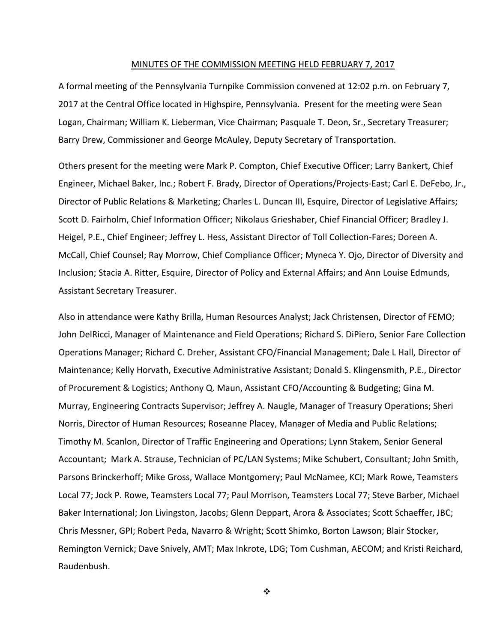#### MINUTES OF THE COMMISSION MEETING HELD FEBRUARY 7, 2017

A formal meeting of the Pennsylvania Turnpike Commission convened at 12:02 p.m. on February 7, 2017 at the Central Office located in Highspire, Pennsylvania. Present for the meeting were Sean Logan, Chairman; William K. Lieberman, Vice Chairman; Pasquale T. Deon, Sr., Secretary Treasurer; Barry Drew, Commissioner and George McAuley, Deputy Secretary of Transportation.

Others present for the meeting were Mark P. Compton, Chief Executive Officer; Larry Bankert, Chief Engineer, Michael Baker, Inc.; Robert F. Brady, Director of Operations/Projects‐East; Carl E. DeFebo, Jr., Director of Public Relations & Marketing; Charles L. Duncan III, Esquire, Director of Legislative Affairs; Scott D. Fairholm, Chief Information Officer; Nikolaus Grieshaber, Chief Financial Officer; Bradley J. Heigel, P.E., Chief Engineer; Jeffrey L. Hess, Assistant Director of Toll Collection‐Fares; Doreen A. McCall, Chief Counsel; Ray Morrow, Chief Compliance Officer; Myneca Y. Ojo, Director of Diversity and Inclusion; Stacia A. Ritter, Esquire, Director of Policy and External Affairs; and Ann Louise Edmunds, Assistant Secretary Treasurer.

Also in attendance were Kathy Brilla, Human Resources Analyst; Jack Christensen, Director of FEMO; John DelRicci, Manager of Maintenance and Field Operations; Richard S. DiPiero, Senior Fare Collection Operations Manager; Richard C. Dreher, Assistant CFO/Financial Management; Dale L Hall, Director of Maintenance; Kelly Horvath, Executive Administrative Assistant; Donald S. Klingensmith, P.E., Director of Procurement & Logistics; Anthony Q. Maun, Assistant CFO/Accounting & Budgeting; Gina M. Murray, Engineering Contracts Supervisor; Jeffrey A. Naugle, Manager of Treasury Operations; Sheri Norris, Director of Human Resources; Roseanne Placey, Manager of Media and Public Relations; Timothy M. Scanlon, Director of Traffic Engineering and Operations; Lynn Stakem, Senior General Accountant; Mark A. Strause, Technician of PC/LAN Systems; Mike Schubert, Consultant; John Smith, Parsons Brinckerhoff; Mike Gross, Wallace Montgomery; Paul McNamee, KCI; Mark Rowe, Teamsters Local 77; Jock P. Rowe, Teamsters Local 77; Paul Morrison, Teamsters Local 77; Steve Barber, Michael Baker International; Jon Livingston, Jacobs; Glenn Deppart, Arora & Associates; Scott Schaeffer, JBC; Chris Messner, GPI; Robert Peda, Navarro & Wright; Scott Shimko, Borton Lawson; Blair Stocker, Remington Vernick; Dave Snively, AMT; Max Inkrote, LDG; Tom Cushman, AECOM; and Kristi Reichard, Raudenbush.

❖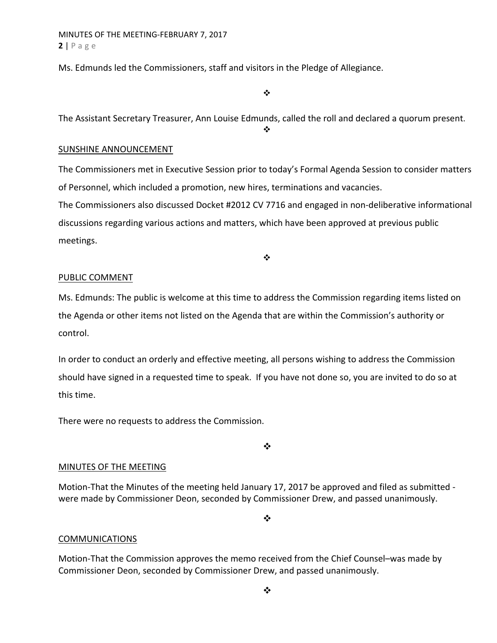Ms. Edmunds led the Commissioners, staff and visitors in the Pledge of Allegiance.

 $\bullet$ 

The Assistant Secretary Treasurer, Ann Louise Edmunds, called the roll and declared a quorum present.

 $\mathbf{A}$ 

### SUNSHINE ANNOUNCEMENT

The Commissioners met in Executive Session prior to today's Formal Agenda Session to consider matters of Personnel, which included a promotion, new hires, terminations and vacancies. The Commissioners also discussed Docket #2012 CV 7716 and engaged in non-deliberative informational discussions regarding various actions and matters, which have been approved at previous public meetings.

❖

## PUBLIC COMMENT

Ms. Edmunds: The public is welcome at this time to address the Commission regarding items listed on the Agenda or other items not listed on the Agenda that are within the Commission's authority or control.

In order to conduct an orderly and effective meeting, all persons wishing to address the Commission should have signed in a requested time to speak. If you have not done so, you are invited to do so at this time.

There were no requests to address the Commission.

 $\cdot$ 

### MINUTES OF THE MEETING

Motion-That the Minutes of the meeting held January 17, 2017 be approved and filed as submitted were made by Commissioner Deon, seconded by Commissioner Drew, and passed unanimously.

 $\cdot$ 

### **COMMUNICATIONS**

Motion‐That the Commission approves the memo received from the Chief Counsel–was made by Commissioner Deon, seconded by Commissioner Drew, and passed unanimously.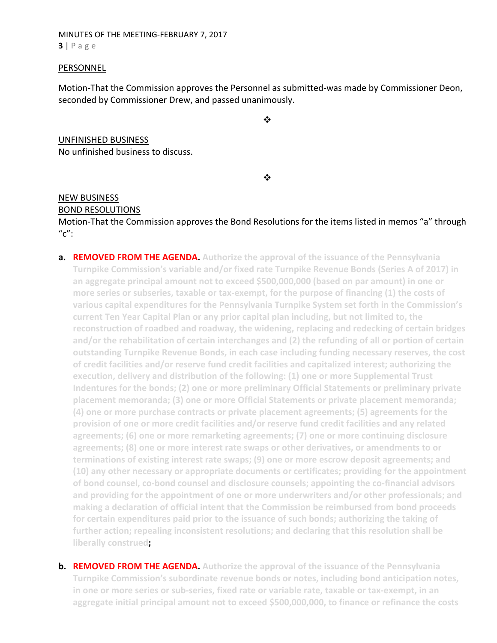MINUTES OF THE MEETING‐FEBRUARY 7, 2017 **3** | Page

### PERSONNEL

Motion‐That the Commission approves the Personnel as submitted‐was made by Commissioner Deon, seconded by Commissioner Drew, and passed unanimously.

 $\cdot$ 

UNFINISHED BUSINESS No unfinished business to discuss.

 $\cdot$ 

# NEW BUSINESS

### BOND RESOLUTIONS

Motion‐That the Commission approves the Bond Resolutions for the items listed in memos "a" through  $^{\prime\prime}$ c":

- **a. REMOVED FROM THE AGENDA. Authorize the approval of the issuance of the Pennsylvania Turnpike Commission's variable and/or fixed rate Turnpike Revenue Bonds (Series A of 2017) in an aggregate principal amount not to exceed \$500,000,000 (based on par amount) in one or more series or subseries, taxable or tax‐exempt, for the purpose of financing (1) the costs of various capital expenditures for the Pennsylvania Turnpike System set forth in the Commission's current Ten Year Capital Plan or any prior capital plan including, but not limited to, the reconstruction of roadbed and roadway, the widening, replacing and redecking of certain bridges and/or the rehabilitation of certain interchanges and (2) the refunding of all or portion of certain outstanding Turnpike Revenue Bonds, in each case including funding necessary reserves, the cost of credit facilities and/or reserve fund credit facilities and capitalized interest; authorizing the execution, delivery and distribution of the following: (1) one or more Supplemental Trust Indentures for the bonds; (2) one or more preliminary Official Statements or preliminary private placement memoranda; (3) one or more Official Statements or private placement memoranda; (4) one or more purchase contracts or private placement agreements; (5) agreements for the provision of one or more credit facilities and/or reserve fund credit facilities and any related agreements; (6) one or more remarketing agreements; (7) one or more continuing disclosure agreements; (8) one or more interest rate swaps or other derivatives, or amendments to or terminations of existing interest rate swaps; (9) one or more escrow deposit agreements; and (10) any other necessary or appropriate documents or certificates; providing for the appointment of bond counsel, co‐bond counsel and disclosure counsels; appointing the co‐financial advisors and providing for the appointment of one or more underwriters and/or other professionals; and making a declaration of official intent that the Commission be reimbursed from bond proceeds for certain expenditures paid prior to the issuance of such bonds; authorizing the taking of further action; repealing inconsistent resolutions; and declaring that this resolution shall be liberally construed;**
- **b. REMOVED FROM THE AGENDA. Authorize the approval of the issuance of the Pennsylvania Turnpike Commission's subordinate revenue bonds or notes, including bond anticipation notes,** in one or more series or sub-series, fixed rate or variable rate, taxable or tax-exempt, in an **aggregate initial principal amount not to exceed \$500,000,000, to finance or refinance the costs**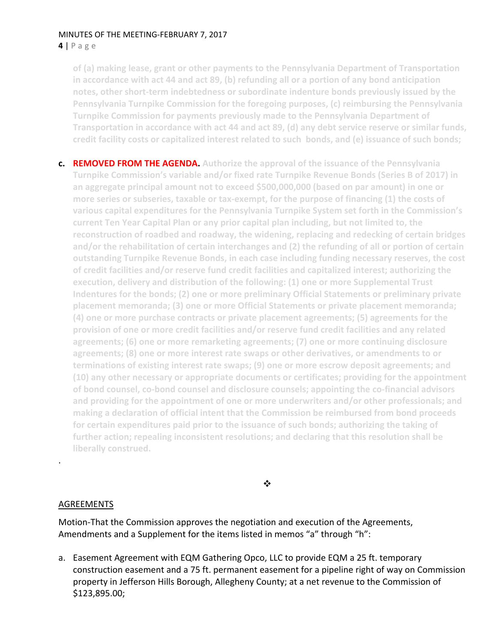### MINUTES OF THE MEETING‐FEBRUARY 7, 2017 **4** | Page

**of (a) making lease, grant or other payments to the Pennsylvania Department of Transportation in accordance with act 44 and act 89, (b) refunding all or a portion of any bond anticipation notes, other short‐term indebtedness or subordinate indenture bonds previously issued by the Pennsylvania Turnpike Commission for the foregoing purposes, (c) reimbursing the Pennsylvania Turnpike Commission for payments previously made to the Pennsylvania Department of Transportation in accordance with act 44 and act 89, (d) any debt service reserve or similar funds, credit facility costs or capitalized interest related to such bonds, and (e) issuance of such bonds;**

**c. REMOVED FROM THE AGENDA. Authorize the approval of the issuance of the Pennsylvania Turnpike Commission's variable and/or fixed rate Turnpike Revenue Bonds (Series B of 2017) in an aggregate principal amount not to exceed \$500,000,000 (based on par amount) in one or more series or subseries, taxable or tax‐exempt, for the purpose of financing (1) the costs of various capital expenditures for the Pennsylvania Turnpike System set forth in the Commission's current Ten Year Capital Plan or any prior capital plan including, but not limited to, the reconstruction of roadbed and roadway, the widening, replacing and redecking of certain bridges and/or the rehabilitation of certain interchanges and (2) the refunding of all or portion of certain outstanding Turnpike Revenue Bonds, in each case including funding necessary reserves, the cost of credit facilities and/or reserve fund credit facilities and capitalized interest; authorizing the execution, delivery and distribution of the following: (1) one or more Supplemental Trust Indentures for the bonds; (2) one or more preliminary Official Statements or preliminary private placement memoranda; (3) one or more Official Statements or private placement memoranda; (4) one or more purchase contracts or private placement agreements; (5) agreements for the provision of one or more credit facilities and/or reserve fund credit facilities and any related agreements; (6) one or more remarketing agreements; (7) one or more continuing disclosure agreements; (8) one or more interest rate swaps or other derivatives, or amendments to or terminations of existing interest rate swaps; (9) one or more escrow deposit agreements; and (10) any other necessary or appropriate documents or certificates; providing for the appointment of bond counsel, co‐bond counsel and disclosure counsels; appointing the co‐financial advisors and providing for the appointment of one or more underwriters and/or other professionals; and making a declaration of official intent that the Commission be reimbursed from bond proceeds for certain expenditures paid prior to the issuance of such bonds; authorizing the taking of further action; repealing inconsistent resolutions; and declaring that this resolution shall be liberally construed.**

 $\frac{1}{2}$ 

# AGREEMENTS

.

Motion‐That the Commission approves the negotiation and execution of the Agreements, Amendments and a Supplement for the items listed in memos "a" through "h":

a. Easement Agreement with EQM Gathering Opco, LLC to provide EQM a 25 ft. temporary construction easement and a 75 ft. permanent easement for a pipeline right of way on Commission property in Jefferson Hills Borough, Allegheny County; at a net revenue to the Commission of \$123,895.00;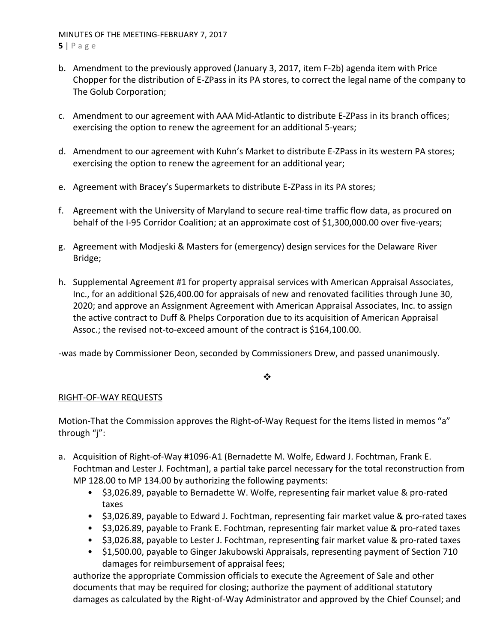### MINUTES OF THE MEETING‐FEBRUARY 7, 2017 **5** | Page

- b. Amendment to the previously approved (January 3, 2017, item F‐2b) agenda item with Price Chopper for the distribution of E‐ZPass in its PA stores, to correct the legal name of the company to The Golub Corporation;
- c. Amendment to our agreement with AAA Mid‐Atlantic to distribute E‐ZPass in its branch offices; exercising the option to renew the agreement for an additional 5‐years;
- d. Amendment to our agreement with Kuhn's Market to distribute E‐ZPass in its western PA stores; exercising the option to renew the agreement for an additional year;
- e. Agreement with Bracey's Supermarkets to distribute E‐ZPass in its PA stores;
- f. Agreement with the University of Maryland to secure real‐time traffic flow data, as procured on behalf of the I-95 Corridor Coalition; at an approximate cost of \$1,300,000.00 over five-years;
- g. Agreement with Modjeski & Masters for (emergency) design services for the Delaware River Bridge;
- h. Supplemental Agreement #1 for property appraisal services with American Appraisal Associates, Inc., for an additional \$26,400.00 for appraisals of new and renovated facilities through June 30, 2020; and approve an Assignment Agreement with American Appraisal Associates, Inc. to assign the active contract to Duff & Phelps Corporation due to its acquisition of American Appraisal Assoc.; the revised not-to-exceed amount of the contract is \$164,100.00.

‐was made by Commissioner Deon, seconded by Commissioners Drew, and passed unanimously.

❖

# RIGHT‐OF‐WAY REQUESTS

Motion-That the Commission approves the Right-of-Way Request for the items listed in memos "a" through "j":

- a. Acquisition of Right‐of‐Way #1096‐A1 (Bernadette M. Wolfe, Edward J. Fochtman, Frank E. Fochtman and Lester J. Fochtman), a partial take parcel necessary for the total reconstruction from MP 128.00 to MP 134.00 by authorizing the following payments:
	- \$3,026.89, payable to Bernadette W. Wolfe, representing fair market value & pro-rated taxes
	- \$3,026.89, payable to Edward J. Fochtman, representing fair market value & pro‐rated taxes
	- \$3,026.89, payable to Frank E. Fochtman, representing fair market value & pro‐rated taxes
	- \$3,026.88, payable to Lester J. Fochtman, representing fair market value & pro‐rated taxes
	- \$1,500.00, payable to Ginger Jakubowski Appraisals, representing payment of Section 710 damages for reimbursement of appraisal fees;

authorize the appropriate Commission officials to execute the Agreement of Sale and other documents that may be required for closing; authorize the payment of additional statutory damages as calculated by the Right‐of‐Way Administrator and approved by the Chief Counsel; and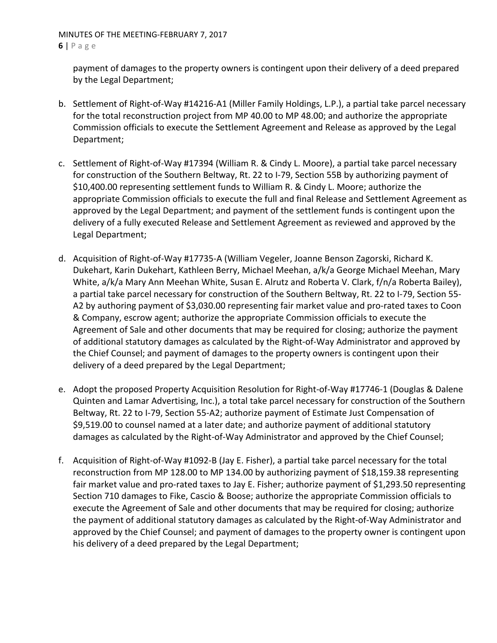### MINUTES OF THE MEETING‐FEBRUARY 7, 2017 **6** | Page

payment of damages to the property owners is contingent upon their delivery of a deed prepared by the Legal Department;

- b. Settlement of Right‐of‐Way #14216‐A1 (Miller Family Holdings, L.P.), a partial take parcel necessary for the total reconstruction project from MP 40.00 to MP 48.00; and authorize the appropriate Commission officials to execute the Settlement Agreement and Release as approved by the Legal Department;
- c. Settlement of Right‐of‐Way #17394 (William R. & Cindy L. Moore), a partial take parcel necessary for construction of the Southern Beltway, Rt. 22 to I‐79, Section 55B by authorizing payment of \$10,400.00 representing settlement funds to William R. & Cindy L. Moore; authorize the appropriate Commission officials to execute the full and final Release and Settlement Agreement as approved by the Legal Department; and payment of the settlement funds is contingent upon the delivery of a fully executed Release and Settlement Agreement as reviewed and approved by the Legal Department;
- d. Acquisition of Right‐of‐Way #17735‐A (William Vegeler, Joanne Benson Zagorski, Richard K. Dukehart, Karin Dukehart, Kathleen Berry, Michael Meehan, a/k/a George Michael Meehan, Mary White, a/k/a Mary Ann Meehan White, Susan E. Alrutz and Roberta V. Clark, f/n/a Roberta Bailey), a partial take parcel necessary for construction of the Southern Beltway, Rt. 22 to I‐79, Section 55‐ A2 by authoring payment of \$3,030.00 representing fair market value and pro‐rated taxes to Coon & Company, escrow agent; authorize the appropriate Commission officials to execute the Agreement of Sale and other documents that may be required for closing; authorize the payment of additional statutory damages as calculated by the Right‐of‐Way Administrator and approved by the Chief Counsel; and payment of damages to the property owners is contingent upon their delivery of a deed prepared by the Legal Department;
- e. Adopt the proposed Property Acquisition Resolution for Right‐of‐Way #17746‐1 (Douglas & Dalene Quinten and Lamar Advertising, Inc.), a total take parcel necessary for construction of the Southern Beltway, Rt. 22 to I-79, Section 55-A2; authorize payment of Estimate Just Compensation of \$9,519.00 to counsel named at a later date; and authorize payment of additional statutory damages as calculated by the Right‐of‐Way Administrator and approved by the Chief Counsel;
- f. Acquisition of Right‐of‐Way #1092‐B (Jay E. Fisher), a partial take parcel necessary for the total reconstruction from MP 128.00 to MP 134.00 by authorizing payment of \$18,159.38 representing fair market value and pro-rated taxes to Jay E. Fisher; authorize payment of \$1,293.50 representing Section 710 damages to Fike, Cascio & Boose; authorize the appropriate Commission officials to execute the Agreement of Sale and other documents that may be required for closing; authorize the payment of additional statutory damages as calculated by the Right‐of‐Way Administrator and approved by the Chief Counsel; and payment of damages to the property owner is contingent upon his delivery of a deed prepared by the Legal Department;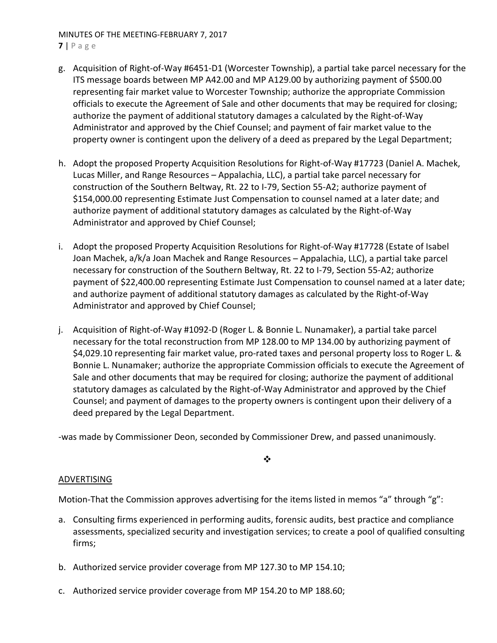# MINUTES OF THE MEETING‐FEBRUARY 7, 2017

- **7** | Page
- g. Acquisition of Right‐of‐Way #6451‐D1 (Worcester Township), a partial take parcel necessary for the ITS message boards between MP A42.00 and MP A129.00 by authorizing payment of \$500.00 representing fair market value to Worcester Township; authorize the appropriate Commission officials to execute the Agreement of Sale and other documents that may be required for closing; authorize the payment of additional statutory damages a calculated by the Right‐of‐Way Administrator and approved by the Chief Counsel; and payment of fair market value to the property owner is contingent upon the delivery of a deed as prepared by the Legal Department;
- h. Adopt the proposed Property Acquisition Resolutions for Right‐of‐Way #17723 (Daniel A. Machek, Lucas Miller, and Range Resources – Appalachia, LLC), a partial take parcel necessary for construction of the Southern Beltway, Rt. 22 to I‐79, Section 55‐A2; authorize payment of \$154,000.00 representing Estimate Just Compensation to counsel named at a later date; and authorize payment of additional statutory damages as calculated by the Right‐of‐Way Administrator and approved by Chief Counsel;
- i. Adopt the proposed Property Acquisition Resolutions for Right‐of‐Way #17728 (Estate of Isabel Joan Machek, a/k/a Joan Machek and Range Resources – Appalachia, LLC), a partial take parcel necessary for construction of the Southern Beltway, Rt. 22 to I‐79, Section 55‐A2; authorize payment of \$22,400.00 representing Estimate Just Compensation to counsel named at a later date; and authorize payment of additional statutory damages as calculated by the Right‐of‐Way Administrator and approved by Chief Counsel;
- j. Acquisition of Right‐of‐Way #1092‐D (Roger L. & Bonnie L. Nunamaker), a partial take parcel necessary for the total reconstruction from MP 128.00 to MP 134.00 by authorizing payment of \$4,029.10 representing fair market value, pro‐rated taxes and personal property loss to Roger L. & Bonnie L. Nunamaker; authorize the appropriate Commission officials to execute the Agreement of Sale and other documents that may be required for closing; authorize the payment of additional statutory damages as calculated by the Right‐of‐Way Administrator and approved by the Chief Counsel; and payment of damages to the property owners is contingent upon their delivery of a deed prepared by the Legal Department.

‐was made by Commissioner Deon, seconded by Commissioner Drew, and passed unanimously.

 $\frac{1}{2}$ 

### ADVERTISING

Motion-That the Commission approves advertising for the items listed in memos "a" through "g":

- a. Consulting firms experienced in performing audits, forensic audits, best practice and compliance assessments, specialized security and investigation services; to create a pool of qualified consulting firms;
- b. Authorized service provider coverage from MP 127.30 to MP 154.10;
- c. Authorized service provider coverage from MP 154.20 to MP 188.60;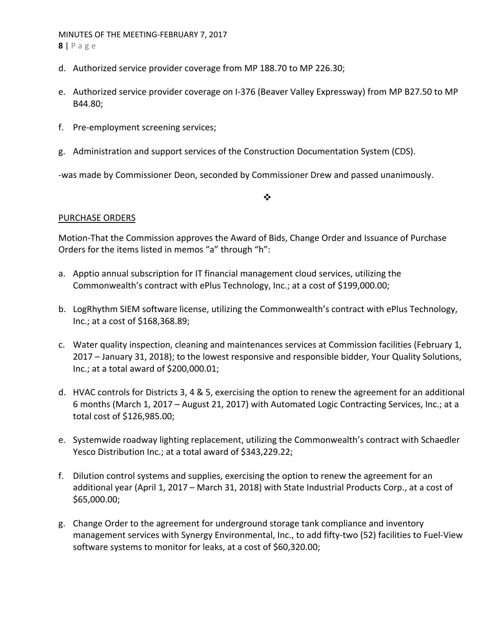### MINUTES OF THE MEETING‐FEBRUARY 7, 2017 **8** | Page

- d. Authorized service provider coverage from MP 188.70 to MP 226.30;
- e. Authorized service provider coverage on I‐376 (Beaver Valley Expressway) from MP B27.50 to MP B44.80;
- f. Pre‐employment screening services;
- g. Administration and support services of the Construction Documentation System (CDS).

‐was made by Commissioner Deon, seconded by Commissioner Drew and passed unanimously.

 $\cdot$ 

### PURCHASE ORDERS

Motion‐That the Commission approves the Award of Bids, Change Order and Issuance of Purchase Orders for the items listed in memos "a" through "h":

- a. Apptio annual subscription for IT financial management cloud services, utilizing the Commonwealth's contract with ePlus Technology, Inc.; at a cost of \$199,000.00;
- b. LogRhythm SIEM software license, utilizing the Commonwealth's contract with ePlus Technology, Inc.; at a cost of \$168,368.89;
- c. Water quality inspection, cleaning and maintenances services at Commission facilities (February 1, 2017 – January 31, 2018); to the lowest responsive and responsible bidder, Your Quality Solutions, Inc.; at a total award of \$200,000.01;
- d. HVAC controls for Districts 3, 4 & 5, exercising the option to renew the agreement for an additional 6 months (March 1, 2017 – August 21, 2017) with Automated Logic Contracting Services, Inc.; at a total cost of \$126,985.00;
- e. Systemwide roadway lighting replacement, utilizing the Commonwealth's contract with Schaedler Yesco Distribution Inc.; at a total award of \$343,229.22;
- f. Dilution control systems and supplies, exercising the option to renew the agreement for an additional year (April 1, 2017 – March 31, 2018) with State Industrial Products Corp., at a cost of \$65,000.00;
- g. Change Order to the agreement for underground storage tank compliance and inventory management services with Synergy Environmental, Inc., to add fifty‐two (52) facilities to Fuel‐View software systems to monitor for leaks, at a cost of \$60,320.00;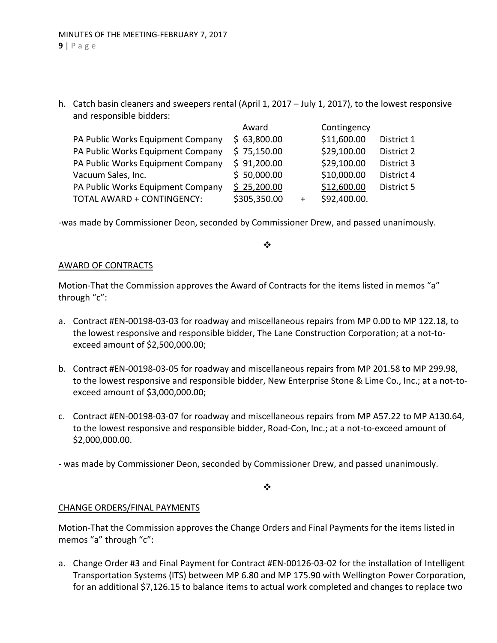h. Catch basin cleaners and sweepers rental (April 1, 2017 – July 1, 2017), to the lowest responsive and responsible bidders:

| Award        |           | Contingency  |            |
|--------------|-----------|--------------|------------|
| \$63,800.00  |           | \$11,600.00  | District 1 |
| \$75,150.00  |           | \$29,100.00  | District 2 |
| \$91,200.00  |           | \$29,100.00  | District 3 |
| \$50,000.00  |           | \$10,000.00  | District 4 |
| \$25,200.00  |           | \$12,600.00  | District 5 |
| \$305,350.00 | $\ddot{}$ | \$92,400.00. |            |
|              |           |              |            |

‐was made by Commissioner Deon, seconded by Commissioner Drew, and passed unanimously.

 $\cdot$ 

### AWARD OF CONTRACTS

Motion-That the Commission approves the Award of Contracts for the items listed in memos "a" through "c":

- a. Contract #EN‐00198‐03‐03 for roadway and miscellaneous repairs from MP 0.00 to MP 122.18, to the lowest responsive and responsible bidder, The Lane Construction Corporation; at a not‐to‐ exceed amount of \$2,500,000.00;
- b. Contract #EN‐00198‐03‐05 for roadway and miscellaneous repairs from MP 201.58 to MP 299.98, to the lowest responsive and responsible bidder, New Enterprise Stone & Lime Co., Inc.; at a not-toexceed amount of \$3,000,000.00;
- c. Contract #EN‐00198‐03‐07 for roadway and miscellaneous repairs from MP A57.22 to MP A130.64, to the lowest responsive and responsible bidder, Road‐Con, Inc.; at a not‐to‐exceed amount of \$2,000,000.00.
- ‐ was made by Commissioner Deon, seconded by Commissioner Drew, and passed unanimously.

 $\frac{1}{2}$ 

### CHANGE ORDERS/FINAL PAYMENTS

Motion‐That the Commission approves the Change Orders and Final Payments for the items listed in memos "a" through "c":

a. Change Order #3 and Final Payment for Contract #EN‐00126‐03‐02 for the installation of Intelligent Transportation Systems (ITS) between MP 6.80 and MP 175.90 with Wellington Power Corporation, for an additional \$7,126.15 to balance items to actual work completed and changes to replace two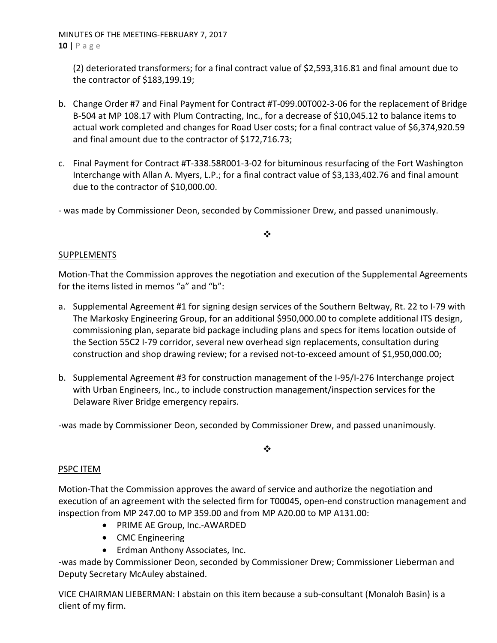MINUTES OF THE MEETING‐FEBRUARY 7, 2017 **10** | Page

(2) deteriorated transformers; for a final contract value of \$2,593,316.81 and final amount due to the contractor of \$183,199.19;

- b. Change Order #7 and Final Payment for Contract #T‐099.00T002‐3‐06 for the replacement of Bridge B‐504 at MP 108.17 with Plum Contracting, Inc., for a decrease of \$10,045.12 to balance items to actual work completed and changes for Road User costs; for a final contract value of \$6,374,920.59 and final amount due to the contractor of \$172,716.73;
- c. Final Payment for Contract #T‐338.58R001‐3‐02 for bituminous resurfacing of the Fort Washington Interchange with Allan A. Myers, L.P.; for a final contract value of \$3,133,402.76 and final amount due to the contractor of \$10,000.00.
- ‐ was made by Commissioner Deon, seconded by Commissioner Drew, and passed unanimously.

# ❖

## **SUPPLEMENTS**

Motion‐That the Commission approves the negotiation and execution of the Supplemental Agreements for the items listed in memos "a" and "b":

- a. Supplemental Agreement #1 for signing design services of the Southern Beltway, Rt. 22 to I‐79 with The Markosky Engineering Group, for an additional \$950,000.00 to complete additional ITS design, commissioning plan, separate bid package including plans and specs for items location outside of the Section 55C2 I‐79 corridor, several new overhead sign replacements, consultation during construction and shop drawing review; for a revised not‐to‐exceed amount of \$1,950,000.00;
- b. Supplemental Agreement #3 for construction management of the I‐95/I‐276 Interchange project with Urban Engineers, Inc., to include construction management/inspection services for the Delaware River Bridge emergency repairs.

‐was made by Commissioner Deon, seconded by Commissioner Drew, and passed unanimously.

### $\cdot$

### PSPC ITEM

Motion‐That the Commission approves the award of service and authorize the negotiation and execution of an agreement with the selected firm for T00045, open-end construction management and inspection from MP 247.00 to MP 359.00 and from MP A20.00 to MP A131.00:

- PRIME AE Group, Inc.-AWARDED
- CMC Engineering
- Erdman Anthony Associates, Inc.

‐was made by Commissioner Deon, seconded by Commissioner Drew; Commissioner Lieberman and Deputy Secretary McAuley abstained.

VICE CHAIRMAN LIEBERMAN: I abstain on this item because a sub‐consultant (Monaloh Basin) is a client of my firm.